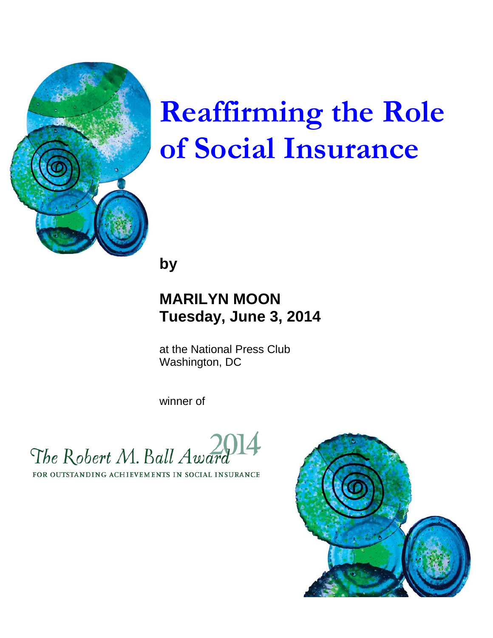

# **Reaffirming the Role of Social Insurance**

**by**

## **MARILYN MOON Tuesday, June 3, 2014**

at the National Press Club Washington, DC

winner of

The Robert M. Ball Awar

FOR OUTSTANDING ACHIEVEMENTS IN SOCIAL INSURANCE

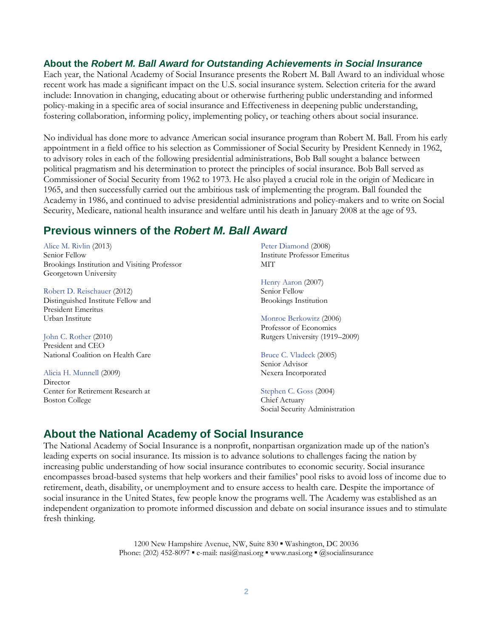#### **About the** *Robert M. Ball Award for Outstanding Achievements in Social Insurance*

Each year, the National Academy of Social Insurance presents the Robert M. Ball Award to an individual whose recent work has made a significant impact on the U.S. social insurance system. Selection criteria for the award include: Innovation in changing, educating about or otherwise furthering public understanding and informed policy-making in a specific area of social insurance and Effectiveness in deepening public understanding, fostering collaboration, informing policy, implementing policy, or teaching others about social insurance.

No individual has done more to advance American social insurance program than Robert M. Ball. From his early appointment in a field office to his selection as Commissioner of Social Security by President Kennedy in 1962, to advisory roles in each of the following presidential administrations, Bob Ball sought a balance between political pragmatism and his determination to protect the principles of social insurance. Bob Ball served as Commissioner of Social Security from 1962 to 1973. He also played a crucial role in the origin of Medicare in 1965, and then successfully carried out the ambitious task of implementing the program. Ball founded the Academy in 1986, and continued to advise presidential administrations and policy-makers and to write on Social Security, Medicare, national health insurance and welfare until his death in January 2008 at the age of 93.

#### **Previous winners of the** *Robert M. Ball Award*

Alice M. Rivlin (2013) Senior Fellow Brookings Institution and Visiting Professor Georgetown University

Robert D. Reischauer (2012) Distinguished Institute Fellow and President Emeritus Urban Institute

John C. Rother (2010) President and CEO National Coalition on Health Care

Alicia H. Munnell (2009) **Director** Center for Retirement Research at Boston College

Peter Diamond (2008) Institute Professor Emeritus **MIT** 

Henry Aaron (2007) Senior Fellow Brookings Institution

Monroe Berkowitz (2006) Professor of Economics Rutgers University (1919–2009)

Bruce C. Vladeck (2005) Senior Advisor Nexera Incorporated

Stephen C. Goss (2004) Chief Actuary Social Security Administration

#### **About the National Academy of Social Insurance**

The National Academy of Social Insurance is a nonprofit, nonpartisan organization made up of the nation's leading experts on social insurance. Its mission is to advance solutions to challenges facing the nation by increasing public understanding of how social insurance contributes to economic security. Social insurance encompasses broad-based systems that help workers and their families' pool risks to avoid loss of income due to retirement, death, disability, or unemployment and to ensure access to health care. Despite the importance of social insurance in the United States, few people know the programs well. The Academy was established as an independent organization to promote informed discussion and debate on social insurance issues and to stimulate fresh thinking.

> 1200 New Hampshire Avenue, NW, Suite 830 ▪ Washington, DC 20036 Phone: (202) 452-8097 • e-mail: nasi $@$ nasi.org • www.nasi.org •  $@$ socialinsurance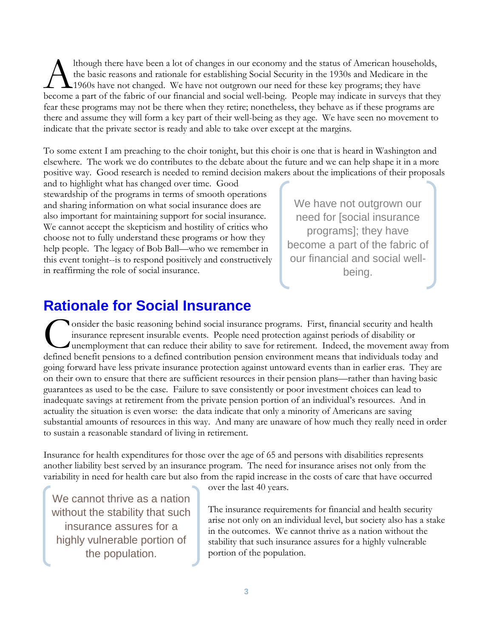lthough there have been a lot of changes in our economy and the status of American households, the basic reasons and rationale for establishing Social Security in the 1930s and Medicare in the 1960s have not changed. We have not outgrown our need for these key programs; they have Ithough there have been a lot of changes in our economy and the status of American households,<br>the basic reasons and rationale for establishing Social Security in the 1930s and Medicare in the<br>1960s have not changed. We ha fear these programs may not be there when they retire; nonetheless, they behave as if these programs are there and assume they will form a key part of their well-being as they age. We have seen no movement to indicate that the private sector is ready and able to take over except at the margins.

To some extent I am preaching to the choir tonight, but this choir is one that is heard in Washington and elsewhere. The work we do contributes to the debate about the future and we can help shape it in a more positive way. Good research is needed to remind decision makers about the implications of their proposals

and to highlight what has changed over time. Good stewardship of the programs in terms of smooth operations and sharing information on what social insurance does are also important for maintaining support for social insurance. We cannot accept the skepticism and hostility of critics who choose not to fully understand these programs or how they help people. The legacy of Bob Ball—who we remember in this event tonight--is to respond positively and constructively in reaffirming the role of social insurance.

We have not outgrown our need for [social insurance programs]; they have become a part of the fabric of our financial and social wellbeing.

## **Rationale for Social Insurance**

onsider the basic reasoning behind social insurance programs. First, financial security and health insurance represent insurable events. People need protection against periods of disability or unemployment that can reduce their ability to save for retirement. Indeed, the movement away from Consider the basic reasoning behind social insurance programs. First, financial security and health insurance represent insurable events. People need protection against periods of disability or unemployment that can reduce going forward have less private insurance protection against untoward events than in earlier eras. They are on their own to ensure that there are sufficient resources in their pension plans—rather than having basic guarantees as used to be the case. Failure to save consistently or poor investment choices can lead to inadequate savings at retirement from the private pension portion of an individual's resources. And in actuality the situation is even worse: the data indicate that only a minority of Americans are saving substantial amounts of resources in this way. And many are unaware of how much they really need in order to sustain a reasonable standard of living in retirement.

Insurance for health expenditures for those over the age of 65 and persons with disabilities represents another liability best served by an insurance program. The need for insurance arises not only from the variability in need for health care but also from the rapid increase in the costs of care that have occurred

We cannot thrive as a nation without the stability that such insurance assures for a highly vulnerable portion of the population.

over the last 40 years.

The insurance requirements for financial and health security arise not only on an individual level, but society also has a stake in the outcomes. We cannot thrive as a nation without the stability that such insurance assures for a highly vulnerable portion of the population.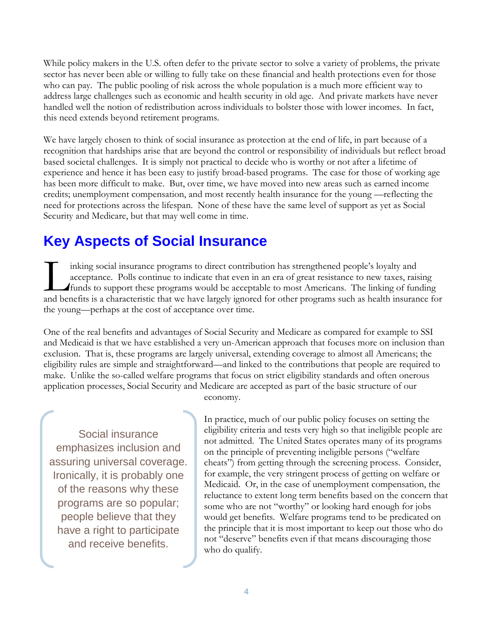While policy makers in the U.S. often defer to the private sector to solve a variety of problems, the private sector has never been able or willing to fully take on these financial and health protections even for those who can pay. The public pooling of risk across the whole population is a much more efficient way to address large challenges such as economic and health security in old age. And private markets have never handled well the notion of redistribution across individuals to bolster those with lower incomes. In fact, this need extends beyond retirement programs.

We have largely chosen to think of social insurance as protection at the end of life, in part because of a recognition that hardships arise that are beyond the control or responsibility of individuals but reflect broad based societal challenges. It is simply not practical to decide who is worthy or not after a lifetime of experience and hence it has been easy to justify broad-based programs. The case for those of working age has been more difficult to make. But, over time, we have moved into new areas such as earned income credits; unemployment compensation, and most recently health insurance for the young —reflecting the need for protections across the lifespan. None of these have the same level of support as yet as Social Security and Medicare, but that may well come in time.

## **Key Aspects of Social Insurance**

inking social insurance programs to direct contribution has strengthened people's loyalty and acceptance. Polls continue to indicate that even in an era of great resistance to new taxes, raising funds to support these programs would be acceptable to most Americans. The linking of funding inking social insurance programs to direct contribution has strengthened people's loyalty and acceptance. Polls continue to indicate that even in an era of great resistance to new taxes, raising funds to support these prog the young—perhaps at the cost of acceptance over time.

One of the real benefits and advantages of Social Security and Medicare as compared for example to SSI and Medicaid is that we have established a very un-American approach that focuses more on inclusion than exclusion. That is, these programs are largely universal, extending coverage to almost all Americans; the eligibility rules are simple and straightforward—and linked to the contributions that people are required to make. Unlike the so-called welfare programs that focus on strict eligibility standards and often onerous application processes, Social Security and Medicare are accepted as part of the basic structure of our

Social insurance emphasizes inclusion and assuring universal coverage. Ironically, it is probably one of the reasons why these programs are so popular; people believe that they have a right to participate and receive benefits.

economy.

In practice, much of our public policy focuses on setting the eligibility criteria and tests very high so that ineligible people are not admitted. The United States operates many of its programs on the principle of preventing ineligible persons ("welfare cheats") from getting through the screening process. Consider, for example, the very stringent process of getting on welfare or Medicaid. Or, in the case of unemployment compensation, the reluctance to extent long term benefits based on the concern that some who are not "worthy" or looking hard enough for jobs would get benefits. Welfare programs tend to be predicated on the principle that it is most important to keep out those who do not "deserve" benefits even if that means discouraging those who do qualify.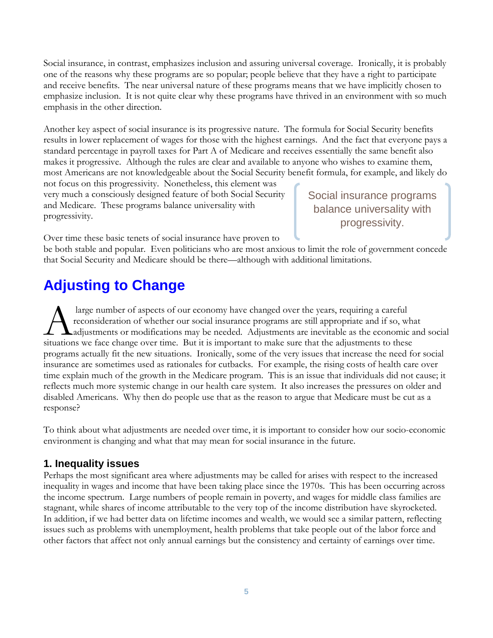Social insurance, in contrast, emphasizes inclusion and assuring universal coverage. Ironically, it is probably one of the reasons why these programs are so popular; people believe that they have a right to participate and receive benefits. The near universal nature of these programs means that we have implicitly chosen to emphasize inclusion. It is not quite clear why these programs have thrived in an environment with so much emphasis in the other direction.

Another key aspect of social insurance is its progressive nature. The formula for Social Security benefits results in lower replacement of wages for those with the highest earnings. And the fact that everyone pays a standard percentage in payroll taxes for Part A of Medicare and receives essentially the same benefit also makes it progressive. Although the rules are clear and available to anyone who wishes to examine them, most Americans are not knowledgeable about the Social Security benefit formula, for example, and likely do

not focus on this progressivity. Nonetheless, this element was very much a consciously designed feature of both Social Security and Medicare. These programs balance universality with progressivity.

Social insurance programs balance universality with progressivity.

Over time these basic tenets of social insurance have proven to

be both stable and popular. Even politicians who are most anxious to limit the role of government concede that Social Security and Medicare should be there—although with additional limitations.

### **Adjusting to Change**

large number of aspects of our economy have changed over the years, requiring a careful reconsideration of whether our social insurance programs are still appropriate and if so, what adjustments or modifications may be needed. Adjustments are inevitable as the economic and social large number of aspects of our economy have changed over the years, requiring a careful<br>reconsideration of whether our social insurance programs are still appropriate and if so, what<br>adjustments or modifications may be nee programs actually fit the new situations. Ironically, some of the very issues that increase the need for social insurance are sometimes used as rationales for cutbacks. For example, the rising costs of health care over time explain much of the growth in the Medicare program. This is an issue that individuals did not cause; it reflects much more systemic change in our health care system. It also increases the pressures on older and disabled Americans. Why then do people use that as the reason to argue that Medicare must be cut as a response?

To think about what adjustments are needed over time, it is important to consider how our socio-economic environment is changing and what that may mean for social insurance in the future.

#### **1. Inequality issues**

Perhaps the most significant area where adjustments may be called for arises with respect to the increased inequality in wages and income that have been taking place since the 1970s. This has been occurring across the income spectrum. Large numbers of people remain in poverty, and wages for middle class families are stagnant, while shares of income attributable to the very top of the income distribution have skyrocketed. In addition, if we had better data on lifetime incomes and wealth, we would see a similar pattern, reflecting issues such as problems with unemployment, health problems that take people out of the labor force and other factors that affect not only annual earnings but the consistency and certainty of earnings over time.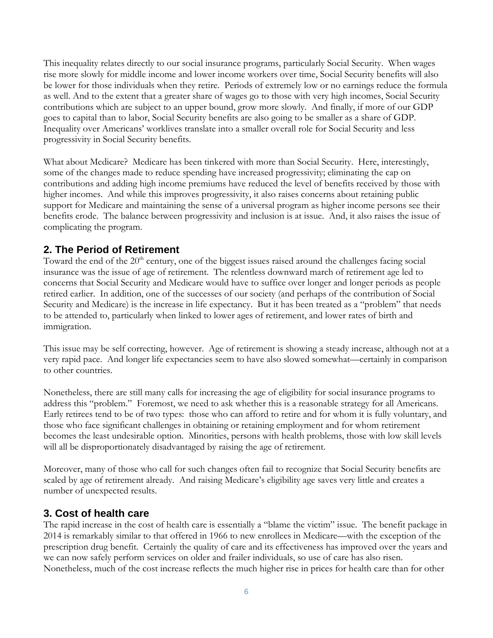This inequality relates directly to our social insurance programs, particularly Social Security. When wages rise more slowly for middle income and lower income workers over time, Social Security benefits will also be lower for those individuals when they retire. Periods of extremely low or no earnings reduce the formula as well. And to the extent that a greater share of wages go to those with very high incomes, Social Security contributions which are subject to an upper bound, grow more slowly. And finally, if more of our GDP goes to capital than to labor, Social Security benefits are also going to be smaller as a share of GDP. Inequality over Americans' worklives translate into a smaller overall role for Social Security and less progressivity in Social Security benefits.

What about Medicare? Medicare has been tinkered with more than Social Security. Here, interestingly, some of the changes made to reduce spending have increased progressivity; eliminating the cap on contributions and adding high income premiums have reduced the level of benefits received by those with higher incomes. And while this improves progressivity, it also raises concerns about retaining public support for Medicare and maintaining the sense of a universal program as higher income persons see their benefits erode. The balance between progressivity and inclusion is at issue. And, it also raises the issue of complicating the program.

#### **2. The Period of Retirement**

Toward the end of the 20<sup>th</sup> century, one of the biggest issues raised around the challenges facing social insurance was the issue of age of retirement. The relentless downward march of retirement age led to concerns that Social Security and Medicare would have to suffice over longer and longer periods as people retired earlier. In addition, one of the successes of our society (and perhaps of the contribution of Social Security and Medicare) is the increase in life expectancy. But it has been treated as a "problem" that needs to be attended to, particularly when linked to lower ages of retirement, and lower rates of birth and immigration.

This issue may be self correcting, however. Age of retirement is showing a steady increase, although not at a very rapid pace. And longer life expectancies seem to have also slowed somewhat—certainly in comparison to other countries.

Nonetheless, there are still many calls for increasing the age of eligibility for social insurance programs to address this "problem." Foremost, we need to ask whether this is a reasonable strategy for all Americans. Early retirees tend to be of two types: those who can afford to retire and for whom it is fully voluntary, and those who face significant challenges in obtaining or retaining employment and for whom retirement becomes the least undesirable option. Minorities, persons with health problems, those with low skill levels will all be disproportionately disadvantaged by raising the age of retirement.

Moreover, many of those who call for such changes often fail to recognize that Social Security benefits are scaled by age of retirement already. And raising Medicare's eligibility age saves very little and creates a number of unexpected results.

#### **3. Cost of health care**

The rapid increase in the cost of health care is essentially a "blame the victim" issue. The benefit package in 2014 is remarkably similar to that offered in 1966 to new enrollees in Medicare—with the exception of the prescription drug benefit. Certainly the quality of care and its effectiveness has improved over the years and we can now safely perform services on older and frailer individuals, so use of care has also risen. Nonetheless, much of the cost increase reflects the much higher rise in prices for health care than for other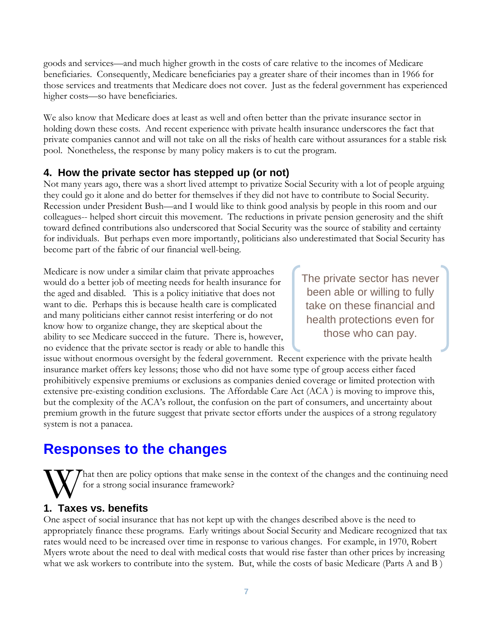goods and services—and much higher growth in the costs of care relative to the incomes of Medicare beneficiaries. Consequently, Medicare beneficiaries pay a greater share of their incomes than in 1966 for those services and treatments that Medicare does not cover. Just as the federal government has experienced higher costs—so have beneficiaries.

We also know that Medicare does at least as well and often better than the private insurance sector in holding down these costs. And recent experience with private health insurance underscores the fact that private companies cannot and will not take on all the risks of health care without assurances for a stable risk pool. Nonetheless, the response by many policy makers is to cut the program.

#### **4. How the private sector has stepped up (or not)**

Not many years ago, there was a short lived attempt to privatize Social Security with a lot of people arguing they could go it alone and do better for themselves if they did not have to contribute to Social Security. Recession under President Bush—and I would like to think good analysis by people in this room and our colleagues-- helped short circuit this movement. The reductions in private pension generosity and the shift toward defined contributions also underscored that Social Security was the source of stability and certainty for individuals. But perhaps even more importantly, politicians also underestimated that Social Security has become part of the fabric of our financial well-being.

Medicare is now under a similar claim that private approaches would do a better job of meeting needs for health insurance for the aged and disabled. This is a policy initiative that does not want to die. Perhaps this is because health care is complicated and many politicians either cannot resist interfering or do not know how to organize change, they are skeptical about the ability to see Medicare succeed in the future. There is, however, no evidence that the private sector is ready or able to handle this

The private sector has never been able or willing to fully take on these financial and health protections even for those who can pay.

issue without enormous oversight by the federal government. Recent experience with the private health insurance market offers key lessons; those who did not have some type of group access either faced prohibitively expensive premiums or exclusions as companies denied coverage or limited protection with extensive pre-existing condition exclusions. The Affordable Care Act (ACA ) is moving to improve this, but the complexity of the ACA's rollout, the confusion on the part of consumers, and uncertainty about premium growth in the future suggest that private sector efforts under the auspices of a strong regulatory system is not a panacea.

## **Responses to the changes**

That then are policy options that make sense in the context of the changes and the continuing need for a strong social insurance framework?

## **1. Taxes vs. benefits** W<br>1 Tays

One aspect of social insurance that has not kept up with the changes described above is the need to appropriately finance these programs. Early writings about Social Security and Medicare recognized that tax rates would need to be increased over time in response to various changes. For example, in 1970, Robert Myers wrote about the need to deal with medical costs that would rise faster than other prices by increasing what we ask workers to contribute into the system. But, while the costs of basic Medicare (Parts A and B )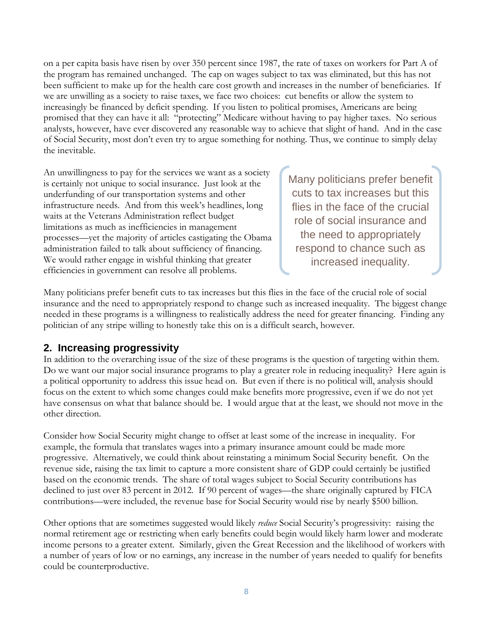on a per capita basis have risen by over 350 percent since 1987, the rate of taxes on workers for Part A of the program has remained unchanged. The cap on wages subject to tax was eliminated, but this has not been sufficient to make up for the health care cost growth and increases in the number of beneficiaries. If we are unwilling as a society to raise taxes, we face two choices: cut benefits or allow the system to increasingly be financed by deficit spending. If you listen to political promises, Americans are being promised that they can have it all: "protecting" Medicare without having to pay higher taxes. No serious analysts, however, have ever discovered any reasonable way to achieve that slight of hand. And in the case of Social Security, most don't even try to argue something for nothing. Thus, we continue to simply delay the inevitable.

An unwillingness to pay for the services we want as a society is certainly not unique to social insurance. Just look at the underfunding of our transportation systems and other infrastructure needs. And from this week's headlines, long waits at the Veterans Administration reflect budget limitations as much as inefficiencies in management processes—yet the majority of articles castigating the Obama administration failed to talk about sufficiency of financing. We would rather engage in wishful thinking that greater efficiencies in government can resolve all problems.

Many politicians prefer benefit cuts to tax increases but this flies in the face of the crucial role of social insurance and the need to appropriately respond to chance such as increased inequality.

Many politicians prefer benefit cuts to tax increases but this flies in the face of the crucial role of social insurance and the need to appropriately respond to change such as increased inequality. The biggest change needed in these programs is a willingness to realistically address the need for greater financing. Finding any politician of any stripe willing to honestly take this on is a difficult search, however.

#### **2. Increasing progressivity**

In addition to the overarching issue of the size of these programs is the question of targeting within them. Do we want our major social insurance programs to play a greater role in reducing inequality? Here again is a political opportunity to address this issue head on. But even if there is no political will, analysis should focus on the extent to which some changes could make benefits more progressive, even if we do not yet have consensus on what that balance should be. I would argue that at the least, we should not move in the other direction.

Consider how Social Security might change to offset at least some of the increase in inequality. For example, the formula that translates wages into a primary insurance amount could be made more progressive. Alternatively, we could think about reinstating a minimum Social Security benefit. On the revenue side, raising the tax limit to capture a more consistent share of GDP could certainly be justified based on the economic trends. The share of total wages subject to Social Security contributions has declined to just over 83 percent in 2012. If 90 percent of wages—the share originally captured by FICA contributions—were included, the revenue base for Social Security would rise by nearly \$500 billion.

Other options that are sometimes suggested would likely *reduce* Social Security's progressivity: raising the normal retirement age or restricting when early benefits could begin would likely harm lower and moderate income persons to a greater extent. Similarly, given the Great Recession and the likelihood of workers with a number of years of low or no earnings, any increase in the number of years needed to qualify for benefits could be counterproductive.